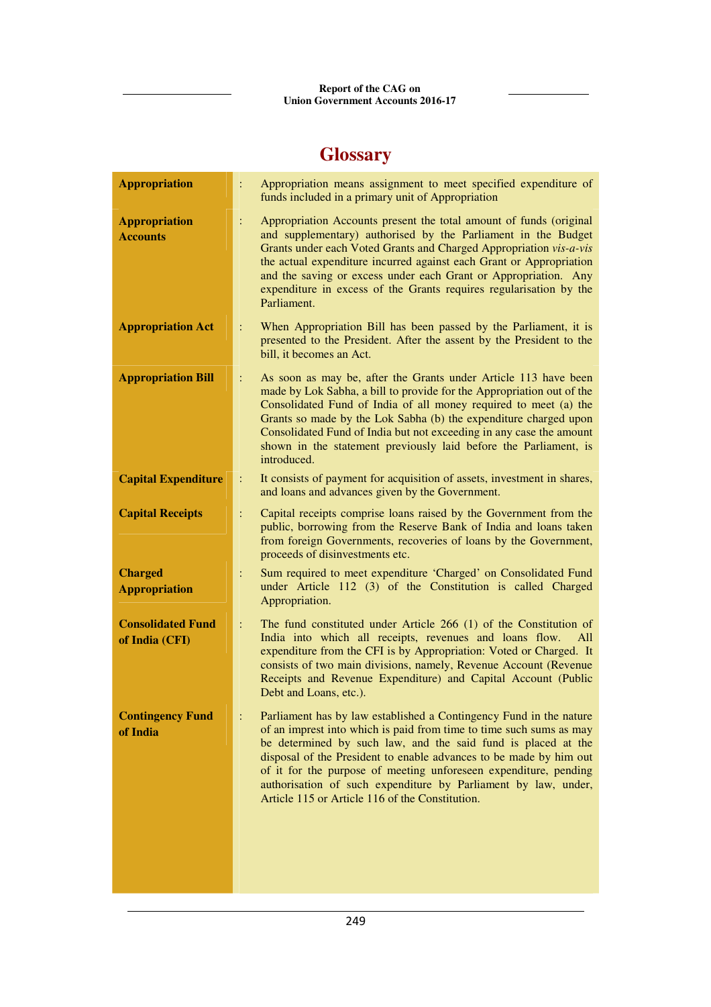## **Glossary**

| <b>Appropriation</b>                       | Appropriation means assignment to meet specified expenditure of<br>$\ddot{\cdot}$<br>funds included in a primary unit of Appropriation                                                                                                                                                                                                                                                                                                                                    |
|--------------------------------------------|---------------------------------------------------------------------------------------------------------------------------------------------------------------------------------------------------------------------------------------------------------------------------------------------------------------------------------------------------------------------------------------------------------------------------------------------------------------------------|
| <b>Appropriation</b><br><b>Accounts</b>    | Appropriation Accounts present the total amount of funds (original<br>÷<br>and supplementary) authorised by the Parliament in the Budget<br>Grants under each Voted Grants and Charged Appropriation vis-a-vis<br>the actual expenditure incurred against each Grant or Appropriation<br>and the saving or excess under each Grant or Appropriation. Any<br>expenditure in excess of the Grants requires regularisation by the<br>Parliament.                             |
| <b>Appropriation Act</b>                   | When Appropriation Bill has been passed by the Parliament, it is<br>÷<br>presented to the President. After the assent by the President to the<br>bill, it becomes an Act.                                                                                                                                                                                                                                                                                                 |
| <b>Appropriation Bill</b>                  | As soon as may be, after the Grants under Article 113 have been<br>÷<br>made by Lok Sabha, a bill to provide for the Appropriation out of the<br>Consolidated Fund of India of all money required to meet (a) the<br>Grants so made by the Lok Sabha (b) the expenditure charged upon<br>Consolidated Fund of India but not exceeding in any case the amount<br>shown in the statement previously laid before the Parliament, is<br>introduced.                           |
| <b>Capital Expenditure</b>                 | It consists of payment for acquisition of assets, investment in shares,<br>÷<br>and loans and advances given by the Government.                                                                                                                                                                                                                                                                                                                                           |
| <b>Capital Receipts</b>                    | Capital receipts comprise loans raised by the Government from the<br>÷<br>public, borrowing from the Reserve Bank of India and loans taken<br>from foreign Governments, recoveries of loans by the Government,<br>proceeds of disinvestments etc.                                                                                                                                                                                                                         |
| <b>Charged</b><br><b>Appropriation</b>     | Sum required to meet expenditure 'Charged' on Consolidated Fund<br>÷<br>under Article 112 (3) of the Constitution is called Charged<br>Appropriation.                                                                                                                                                                                                                                                                                                                     |
| <b>Consolidated Fund</b><br>of India (CFI) | The fund constituted under Article 266 (1) of the Constitution of<br>÷<br>India into which all receipts, revenues and loans flow.<br>All<br>expenditure from the CFI is by Appropriation: Voted or Charged. It<br>consists of two main divisions, namely, Revenue Account (Revenue<br>Receipts and Revenue Expenditure) and Capital Account (Public<br>Debt and Loans, etc.).                                                                                             |
| <b>Contingency Fund</b><br>of India        | Parliament has by law established a Contingency Fund in the nature<br>of an imprest into which is paid from time to time such sums as may<br>be determined by such law, and the said fund is placed at the<br>disposal of the President to enable advances to be made by him out<br>of it for the purpose of meeting unforeseen expenditure, pending<br>authorisation of such expenditure by Parliament by law, under,<br>Article 115 or Article 116 of the Constitution. |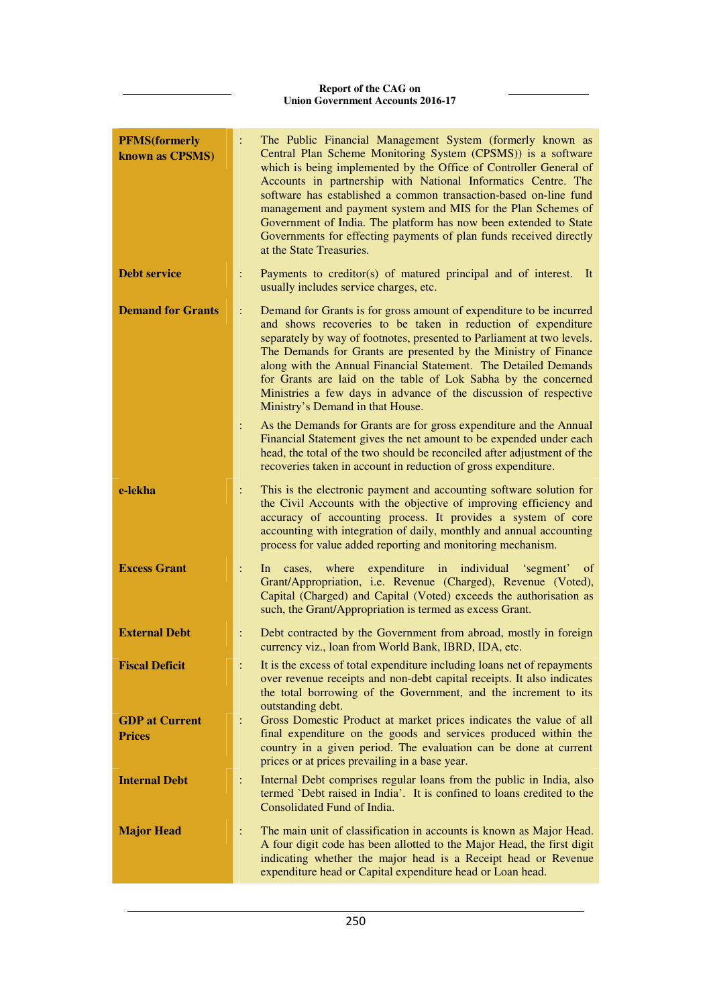| <b>PFMS</b> (formerly<br>known as CPSMS) |                     | The Public Financial Management System (formerly known as<br>Central Plan Scheme Monitoring System (CPSMS)) is a software<br>which is being implemented by the Office of Controller General of<br>Accounts in partnership with National Informatics Centre. The<br>software has established a common transaction-based on-line fund<br>management and payment system and MIS for the Plan Schemes of<br>Government of India. The platform has now been extended to State<br>Governments for effecting payments of plan funds received directly<br>at the State Treasuries.                                                                                                |
|------------------------------------------|---------------------|---------------------------------------------------------------------------------------------------------------------------------------------------------------------------------------------------------------------------------------------------------------------------------------------------------------------------------------------------------------------------------------------------------------------------------------------------------------------------------------------------------------------------------------------------------------------------------------------------------------------------------------------------------------------------|
| <b>Debt service</b>                      | ÷                   | Payments to creditor(s) of matured principal and of interest.<br>It<br>usually includes service charges, etc.                                                                                                                                                                                                                                                                                                                                                                                                                                                                                                                                                             |
| <b>Demand for Grants</b>                 | $\ddot{\cdot}$<br>÷ | Demand for Grants is for gross amount of expenditure to be incurred<br>and shows recoveries to be taken in reduction of expenditure<br>separately by way of footnotes, presented to Parliament at two levels.<br>The Demands for Grants are presented by the Ministry of Finance<br>along with the Annual Financial Statement. The Detailed Demands<br>for Grants are laid on the table of Lok Sabha by the concerned<br>Ministries a few days in advance of the discussion of respective<br>Ministry's Demand in that House.<br>As the Demands for Grants are for gross expenditure and the Annual<br>Financial Statement gives the net amount to be expended under each |
|                                          |                     | head, the total of the two should be reconciled after adjustment of the<br>recoveries taken in account in reduction of gross expenditure.                                                                                                                                                                                                                                                                                                                                                                                                                                                                                                                                 |
| e-lekha                                  | ÷                   | This is the electronic payment and accounting software solution for<br>the Civil Accounts with the objective of improving efficiency and<br>accuracy of accounting process. It provides a system of core<br>accounting with integration of daily, monthly and annual accounting<br>process for value added reporting and monitoring mechanism.                                                                                                                                                                                                                                                                                                                            |
| <b>Excess Grant</b>                      | $\ddot{\cdot}$      | where expenditure in individual 'segment'<br>cases,<br>ln<br>of<br>Grant/Appropriation, i.e. Revenue (Charged), Revenue (Voted),<br>Capital (Charged) and Capital (Voted) exceeds the authorisation as<br>such, the Grant/Appropriation is termed as excess Grant.                                                                                                                                                                                                                                                                                                                                                                                                        |
| <b>External Debt</b>                     | $\ddot{\cdot}$      | Debt contracted by the Government from abroad, mostly in foreign<br>currency viz., loan from World Bank, IBRD, IDA, etc.                                                                                                                                                                                                                                                                                                                                                                                                                                                                                                                                                  |
| <b>Fiscal Deficit</b>                    |                     | It is the excess of total expenditure including loans net of repayments<br>over revenue receipts and non-debt capital receipts. It also indicates<br>the total borrowing of the Government, and the increment to its<br>outstanding debt.                                                                                                                                                                                                                                                                                                                                                                                                                                 |
| <b>GDP</b> at Current<br><b>Prices</b>   | $\ddot{\cdot}$      | Gross Domestic Product at market prices indicates the value of all<br>final expenditure on the goods and services produced within the<br>country in a given period. The evaluation can be done at current<br>prices or at prices prevailing in a base year.                                                                                                                                                                                                                                                                                                                                                                                                               |
| <b>Internal Debt</b>                     | ÷                   | Internal Debt comprises regular loans from the public in India, also<br>termed 'Debt raised in India'. It is confined to loans credited to the<br>Consolidated Fund of India.                                                                                                                                                                                                                                                                                                                                                                                                                                                                                             |
| <b>Major Head</b>                        | $\ddot{\cdot}$      | The main unit of classification in accounts is known as Major Head.<br>A four digit code has been allotted to the Major Head, the first digit<br>indicating whether the major head is a Receipt head or Revenue<br>expenditure head or Capital expenditure head or Loan head.                                                                                                                                                                                                                                                                                                                                                                                             |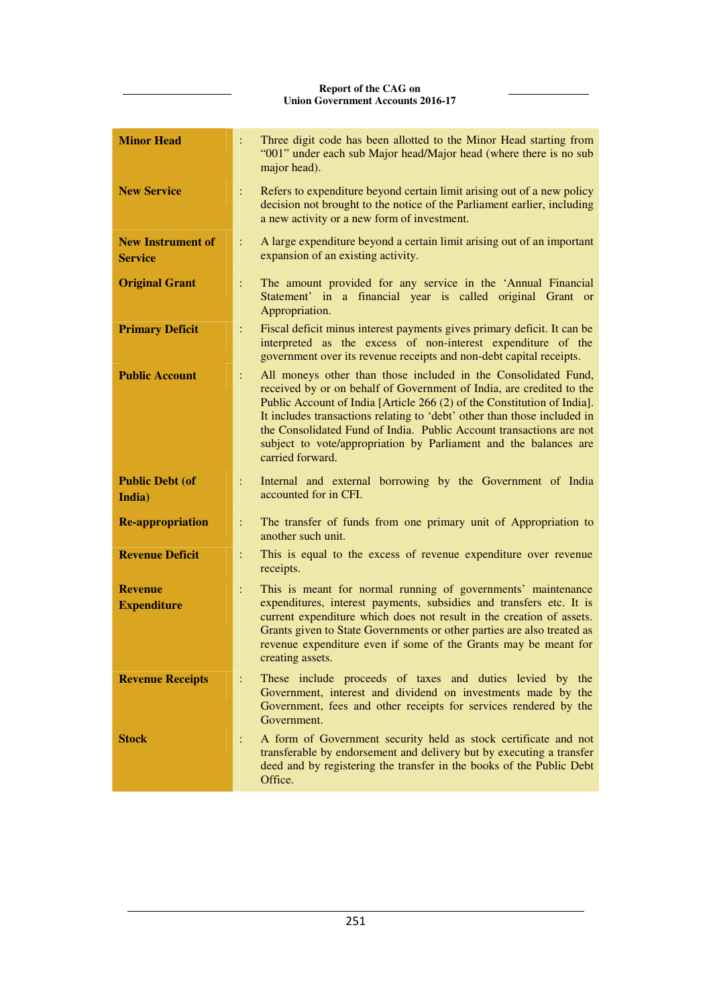| <b>Minor Head</b>                          | $\ddot{\cdot}$ | Three digit code has been allotted to the Minor Head starting from<br>"001" under each sub Major head/Major head (where there is no sub<br>major head).                                                                                                                                                                                                                                                                                                      |
|--------------------------------------------|----------------|--------------------------------------------------------------------------------------------------------------------------------------------------------------------------------------------------------------------------------------------------------------------------------------------------------------------------------------------------------------------------------------------------------------------------------------------------------------|
| <b>New Service</b>                         | ÷              | Refers to expenditure beyond certain limit arising out of a new policy<br>decision not brought to the notice of the Parliament earlier, including<br>a new activity or a new form of investment.                                                                                                                                                                                                                                                             |
| <b>New Instrument of</b><br><b>Service</b> | $\ddot{\cdot}$ | A large expenditure beyond a certain limit arising out of an important<br>expansion of an existing activity.                                                                                                                                                                                                                                                                                                                                                 |
| <b>Original Grant</b>                      | ÷              | The amount provided for any service in the 'Annual Financial<br>Statement' in a financial year is called original Grant or<br>Appropriation.                                                                                                                                                                                                                                                                                                                 |
| <b>Primary Deficit</b>                     | ÷              | Fiscal deficit minus interest payments gives primary deficit. It can be<br>interpreted as the excess of non-interest expenditure of the<br>government over its revenue receipts and non-debt capital receipts.                                                                                                                                                                                                                                               |
| <b>Public Account</b>                      | ÷              | All moneys other than those included in the Consolidated Fund,<br>received by or on behalf of Government of India, are credited to the<br>Public Account of India [Article 266 (2) of the Constitution of India].<br>It includes transactions relating to 'debt' other than those included in<br>the Consolidated Fund of India. Public Account transactions are not<br>subject to vote/appropriation by Parliament and the balances are<br>carried forward. |
| <b>Public Debt (of</b><br>India)           | ÷              | Internal and external borrowing by the Government of India<br>accounted for in CFI.                                                                                                                                                                                                                                                                                                                                                                          |
| <b>Re-appropriation</b>                    | ÷              | The transfer of funds from one primary unit of Appropriation to<br>another such unit.                                                                                                                                                                                                                                                                                                                                                                        |
| <b>Revenue Deficit</b>                     | $\ddot{\cdot}$ | This is equal to the excess of revenue expenditure over revenue<br>receipts.                                                                                                                                                                                                                                                                                                                                                                                 |
| <b>Revenue</b><br><b>Expenditure</b>       | ÷              | This is meant for normal running of governments' maintenance<br>expenditures, interest payments, subsidies and transfers etc. It is<br>current expenditure which does not result in the creation of assets.<br>Grants given to State Governments or other parties are also treated as<br>revenue expenditure even if some of the Grants may be meant for<br>creating assets.                                                                                 |
| <b>Revenue Receipts</b>                    | $\ddot{\cdot}$ | These include proceeds of taxes and duties levied by the<br>Government, interest and dividend on investments made by the<br>Government, fees and other receipts for services rendered by the<br>Government.                                                                                                                                                                                                                                                  |
| <b>Stock</b>                               | ÷              | A form of Government security held as stock certificate and not<br>transferable by endorsement and delivery but by executing a transfer<br>deed and by registering the transfer in the books of the Public Debt<br>Office.                                                                                                                                                                                                                                   |